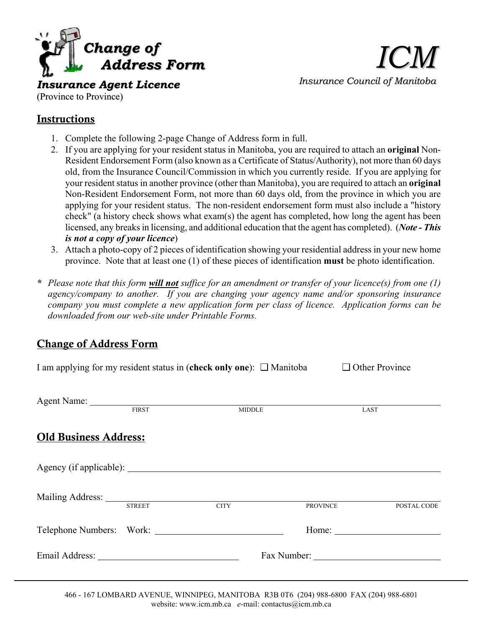

*ICM Insurance Council of Manitoba*

*Insurance Agent Licence* (Province to Province)

## Instructions

- 1. Complete the following 2-page Change of Address form in full.
- 2. If you are applying for your resident status in Manitoba, you are required to attach an **original** Non-Resident Endorsement Form (also known as a Certificate of Status/Authority), not more than 60 days old, from the Insurance Council/Commission in which you currently reside. If you are applying for your resident status in another province (other than Manitoba), you are required to attach an **original** Non-Resident Endorsement Form, not more than 60 days old, from the province in which you are applying for your resident status. The non-resident endorsement form must also include a "history check" (a history check shows what exam(s) the agent has completed, how long the agent has been licensed, any breaks in licensing, and additional education that the agent has completed). (*Note - This is not a copy of your licence*)
- 3. Attach a photo-copy of 2 pieces of identification showing your residential address in your new home province. Note that at least one (1) of these pieces of identification **must** be photo identification.
- *\* Please note that this form will not suffice for an amendment or transfer of your licence(s) from one (1) agency/company to another. If you are changing your agency name and/or sponsoring insurance company you must complete a new application form per class of licence. Application forms can be downloaded from our web-site under Printable Forms.*

## Change of Address Form

|                       |  | I am applying for my resident status in (check only one): $\Box$ Manitoba | $\Box$ Other Province                                                            |
|-----------------------|--|---------------------------------------------------------------------------|----------------------------------------------------------------------------------|
|                       |  |                                                                           |                                                                                  |
|                       |  |                                                                           |                                                                                  |
| Old Business Address: |  |                                                                           |                                                                                  |
|                       |  |                                                                           |                                                                                  |
|                       |  | PROVINCE                                                                  | POSTAL CODE                                                                      |
|                       |  |                                                                           |                                                                                  |
|                       |  |                                                                           |                                                                                  |
|                       |  | Telephone Numbers: Work:                                                  | Agent Name: FIRST MIDDLE<br><b>LAST</b><br>Mailing Address: STREET CITY<br>Home: |